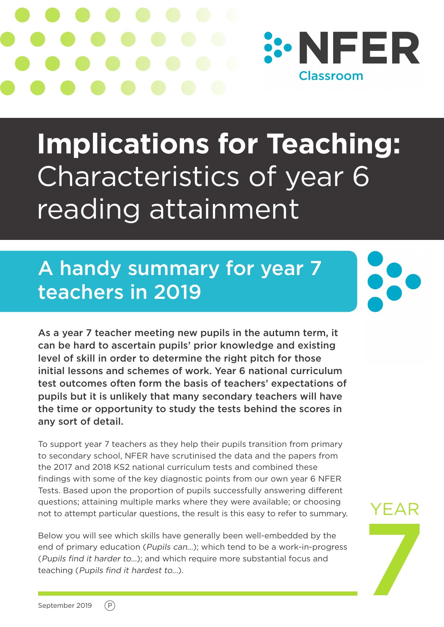

# **Implications for Teaching:**  Characteristics of year 6 reading attainment

### A handy summary for year 7 teachers in 2019

As a year 7 teacher meeting new pupils in the autumn term, it can be hard to ascertain pupils' prior knowledge and existing level of skill in order to determine the right pitch for those initial lessons and schemes of work. Year 6 national curriculum test outcomes often form the basis of teachers' expectations of pupils but it is unlikely that many secondary teachers will have the time or opportunity to study the tests behind the scores in any sort of detail.

To support year 7 teachers as they help their pupils transition from primary to secondary school, NFER have scrutinised the data and the papers from the 2017 and 2018 KS2 national curriculum tests and combined these findings with some of the key diagnostic points from our own year 6 NFER Tests. Based upon the proportion of pupils successfully answering different questions; attaining multiple marks where they were available; or choosing not to attempt particular questions, the result is this easy to refer to summary.

Below you will see which skills have generally been well-embedded by the end of primary education (Pupils can…); which tend to be a work-in-progress (Pupils find it harder to…); and which require more substantial focus and teaching (Pupils find it hardest to…).